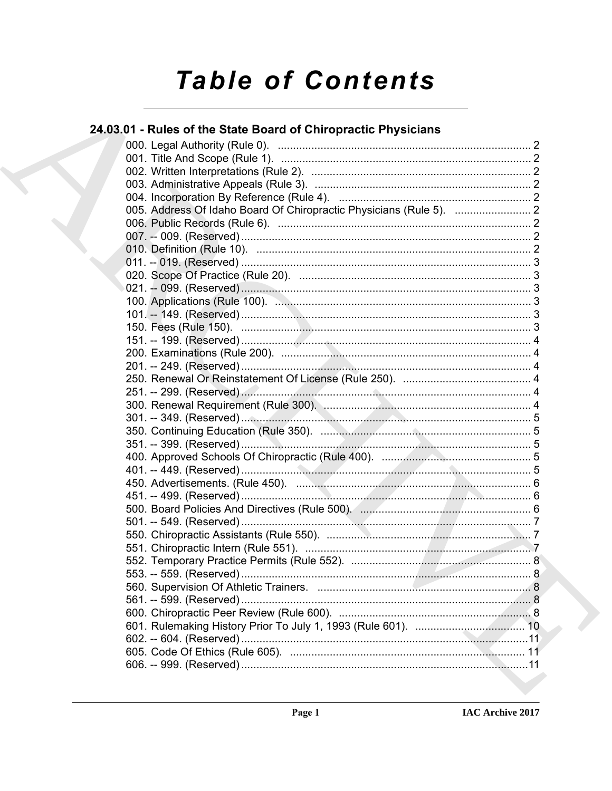# **Table of Contents**

### 24.03.01 - Rules of the State Board of Chiropractic Physicians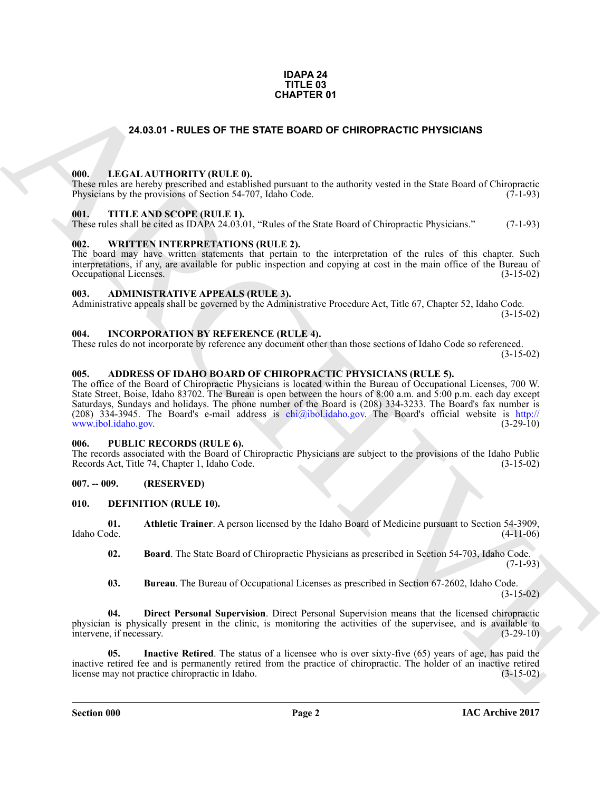#### **IDAPA 24 TITLE 03 CHAPTER 01**

#### **24.03.01 - RULES OF THE STATE BOARD OF CHIROPRACTIC PHYSICIANS**

#### <span id="page-1-1"></span><span id="page-1-0"></span>**000. LEGAL AUTHORITY (RULE 0).**

These rules are hereby prescribed and established pursuant to the authority vested in the State Board of Chiropractic Physicians by the provisions of Section 54-707. Idaho Code. (7-1-93) Physicians by the provisions of Section 54-707, Idaho Code.

#### <span id="page-1-2"></span>**001. TITLE AND SCOPE (RULE 1).**

These rules shall be cited as IDAPA 24.03.01, "Rules of the State Board of Chiropractic Physicians." (7-1-93)

#### <span id="page-1-3"></span>**002. WRITTEN INTERPRETATIONS (RULE 2).**

The board may have written statements that pertain to the interpretation of the rules of this chapter. Such interpretations, if any, are available for public inspection and copying at cost in the main office of the Bureau of Occupational Licenses. (3-15-02) Occupational Licenses.

#### <span id="page-1-4"></span>**003. ADMINISTRATIVE APPEALS (RULE 3).**

Administrative appeals shall be governed by the Administrative Procedure Act, Title 67, Chapter 52, Idaho Code.

 $(3-15-02)$ 

#### <span id="page-1-5"></span>**004. INCORPORATION BY REFERENCE (RULE 4).**

These rules do not incorporate by reference any document other than those sections of Idaho Code so referenced. (3-15-02)

#### <span id="page-1-6"></span>**005. ADDRESS OF IDAHO BOARD OF CHIROPRACTIC PHYSICIANS (RULE 5).**

**24.03.01 - RULES OF THE STATE BOARD OF [CH](mailto:chi@ibol.idaho.gov)IROPHACTIC PHYSICIANS<br>
1990.** LEGAL ALTHORITY (RULE B), Soc pursuan to the automy vested in the State Band of Chirometic<br>
THE AND SCOPE RELET. (Inc. Co. Co. Co. Co. Co. Co. Co. Co The office of the Board of Chiropractic Physicians is located within the Bureau of Occupational Licenses, 700 W. State Street, Boise, Idaho 83702. The Bureau is open between the hours of 8:00 a.m. and 5:00 p.m. each day except Saturdays, Sundays and holidays. The phone number of the Board is (208) 334-3233. The Board's fax number is (208)  $334-3945$ . The Board's e-mail address is chi@ibol.idaho.gov. The Board's official website is http://<br>www.ibol.idaho.gov. (3-29-10) www.ibol.idaho.gov.

#### <span id="page-1-7"></span>**006. PUBLIC RECORDS (RULE 6).**

The records associated with the Board of Chiropractic Physicians are subject to the provisions of the Idaho Public Records Act, Title 74, Chapter 1, Idaho Code. (3-15-02) Records Act, Title 74, Chapter 1, Idaho Code.

#### <span id="page-1-8"></span>**007. -- 009. (RESERVED)**

#### <span id="page-1-10"></span><span id="page-1-9"></span>**010. DEFINITION (RULE 10).**

**01. Athletic Trainer**. A person licensed by the Idaho Board of Medicine pursuant to Section 54-3909, Idaho Code. (4-11-06)

<span id="page-1-12"></span><span id="page-1-11"></span>**02. Board**. The State Board of Chiropractic Physicians as prescribed in Section 54-703, Idaho Code.  $(7-1-93)$ 

<span id="page-1-15"></span><span id="page-1-14"></span><span id="page-1-13"></span>**03. Bureau**. The Bureau of Occupational Licenses as prescribed in Section 67-2602, Idaho Code.  $(3-15-02)$ 

**04. Direct Personal Supervision**. Direct Personal Supervision means that the licensed chiropractic physician is physically present in the clinic, is monitoring the activities of the supervisee, and is available to intervene if necessary. intervene, if necessary.

**Inactive Retired**. The status of a licensee who is over sixty-five (65) years of age, has paid the inactive retired fee and is permanently retired from the practice of chiropractic. The holder of an inactive retired license may not practice chiropractic in Idaho. (3-15-02) license may not practice chiropractic in Idaho.

**Section 000 Page 2**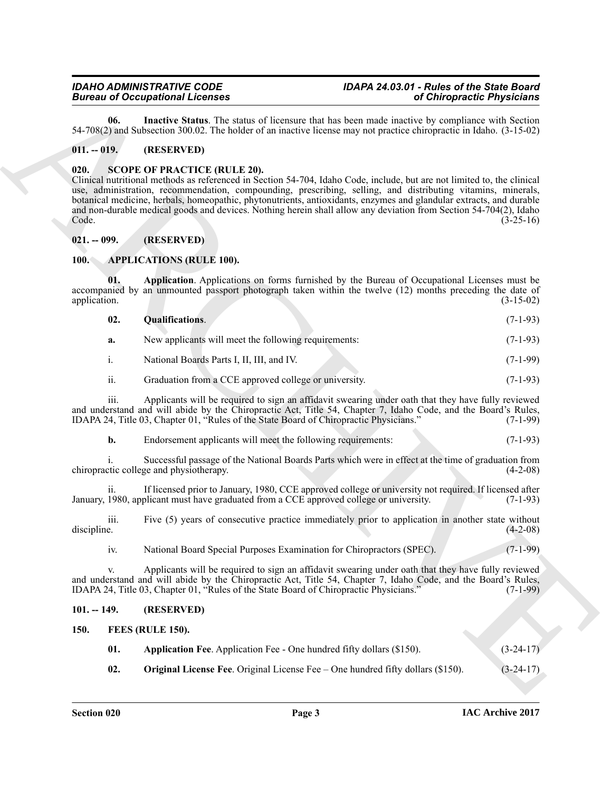<span id="page-2-9"></span>**06. Inactive Status**. The status of licensure that has been made inactive by compliance with Section 54-708(2) and Subsection 300.02. The holder of an inactive license may not practice chiropractic in Idaho. (3-15-02)

#### <span id="page-2-0"></span>**011. -- 019. (RESERVED)**

#### <span id="page-2-13"></span><span id="page-2-1"></span>**020. SCOPE OF PRACTICE (RULE 20).**

Bioreo is  $\sigma$  contained interests and at the matter show that  $\sigma$  is the presentation of  $\sigma$  is  $\sigma$  is  $\sigma$  is  $\sigma$  is  $\sigma$  is  $\sigma$  is  $\sigma$  is  $\sigma$  is  $\sigma$  is  $\sigma$  is  $\sigma$  is  $\sigma$  is  $\sigma$  is  $\sigma$  is  $\sigma$  is  $\sigma$  is  $\$ Clinical nutritional methods as referenced in Section 54-704, Idaho Code, include, but are not limited to, the clinical use, administration, recommendation, compounding, prescribing, selling, and distributing vitamins, minerals, botanical medicine, herbals, homeopathic, phytonutrients, antioxidants, enzymes and glandular extracts, and durable and non-durable medical goods and devices. Nothing herein shall allow any deviation from Section 54-704(2), Idaho<br>Code. (3-25-16)  $\text{Code.} \tag{3-25-16}$ 

#### <span id="page-2-2"></span>**021. -- 099. (RESERVED)**

#### <span id="page-2-6"></span><span id="page-2-3"></span>**100. APPLICATIONS (RULE 100).**

**01. Application**. Applications on forms furnished by the Bureau of Occupational Licenses must be accompanied by an unmounted passport photograph taken within the twelve (12) months preceding the date of application. (3-15-02)

<span id="page-2-8"></span><span id="page-2-7"></span>

| 02. | <b>Qualifications.</b> |  | $(7-1-93)$ |
|-----|------------------------|--|------------|
|     |                        |  |            |

| New applicants will meet the following requirements: | $(7-1-93)$ |
|------------------------------------------------------|------------|
| National Boards Parts I, II, III, and IV.            | $(7-1-99)$ |

#### ii. Graduation from a CCE approved college or university. (7-1-93)

iii. Applicants will be required to sign an affidavit swearing under oath that they have fully reviewed and understand and will abide by the Chiropractic Act, Title 54, Chapter 7, Idaho Code, and the Board's Rules,<br>IDAPA 24. Title 03. Chapter 01. "Rules of the State Board of Chiropractic Physicians." (7-1-99) IDAPA 24, Title 03, Chapter 01, "Rules of the State Board of Chiropractic Physicians."

| b. | Endorsement applicants will meet the following requirements: |  |  | $(7-1-93)$ |
|----|--------------------------------------------------------------|--|--|------------|
|----|--------------------------------------------------------------|--|--|------------|

i. Successful passage of the National Boards Parts which were in effect at the time of graduation from chiropractic college and physiotherapy.

ii. If licensed prior to January, 1980, CCE approved college or university not required. If licensed after 1980, applicant must have graduated from a CCE approved college or university. (7-1-93) January, 1980, applicant must have graduated from a CCE approved college or university.

iii. Five (5) years of consecutive practice immediately prior to application in another state without discipline. (4-2-08)

iv. National Board Special Purposes Examination for Chiropractors (SPEC). (7-1-99)

v. Applicants will be required to sign an affidavit swearing under oath that they have fully reviewed and understand and will abide by the Chiropractic Act, Title 54, Chapter 7, Idaho Code, and the Board's Rules, IDAPA 24, Title 03, Chapter 01, "Rules of the State Board of Chiropractic Physicians." (7-1-99)

#### <span id="page-2-4"></span>**101. -- 149. (RESERVED)**

#### <span id="page-2-5"></span>**150. FEES (RULE 150).**

<span id="page-2-12"></span><span id="page-2-11"></span><span id="page-2-10"></span>

| 01. | <b>Application Fee.</b> Application Fee - One hundred fifty dollars (\$150). | $(3-24-17)$ |
|-----|------------------------------------------------------------------------------|-------------|
|     |                                                                              |             |

**02. Original License Fee**. Original License Fee – One hundred fifty dollars (\$150). (3-24-17)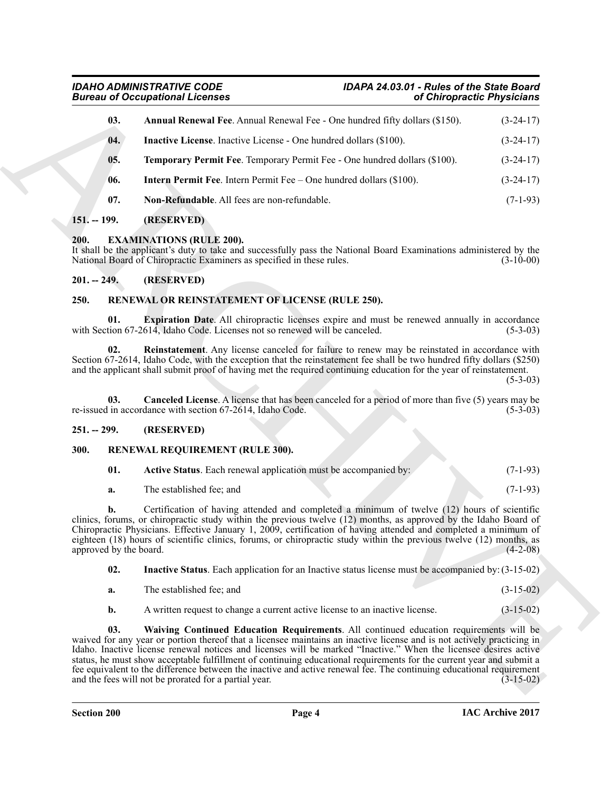<span id="page-3-7"></span>

|               | <b>Bureau of Occupational Licenses</b>                                                                                                                                                                                                                                                                                                                                                                                                                                              | of Chiropractic Physicians |             |  |
|---------------|-------------------------------------------------------------------------------------------------------------------------------------------------------------------------------------------------------------------------------------------------------------------------------------------------------------------------------------------------------------------------------------------------------------------------------------------------------------------------------------|----------------------------|-------------|--|
| 03.           | Annual Renewal Fee. Annual Renewal Fee - One hundred fifty dollars (\$150).                                                                                                                                                                                                                                                                                                                                                                                                         |                            | $(3-24-17)$ |  |
| 04.           | <b>Inactive License.</b> Inactive License - One hundred dollars (\$100).                                                                                                                                                                                                                                                                                                                                                                                                            |                            | $(3-24-17)$ |  |
| 05.           | Temporary Permit Fee. Temporary Permit Fee - One hundred dollars (\$100).                                                                                                                                                                                                                                                                                                                                                                                                           |                            | $(3-24-17)$ |  |
| 06.           | <b>Intern Permit Fee.</b> Intern Permit Fee – One hundred dollars (\$100).                                                                                                                                                                                                                                                                                                                                                                                                          |                            | $(3-24-17)$ |  |
| 07.           | Non-Refundable. All fees are non-refundable.                                                                                                                                                                                                                                                                                                                                                                                                                                        |                            | $(7-1-93)$  |  |
| $151. - 199.$ | (RESERVED)                                                                                                                                                                                                                                                                                                                                                                                                                                                                          |                            |             |  |
| 200.          | <b>EXAMINATIONS (RULE 200).</b><br>It shall be the applicant's duty to take and successfully pass the National Board Examinations administered by the<br>National Board of Chiropractic Examiners as specified in these rules.                                                                                                                                                                                                                                                      |                            | $(3-10-00)$ |  |
| $201. - 249.$ | (RESERVED)                                                                                                                                                                                                                                                                                                                                                                                                                                                                          |                            |             |  |
| 250.          | RENEWAL OR REINSTATEMENT OF LICENSE (RULE 250).                                                                                                                                                                                                                                                                                                                                                                                                                                     |                            |             |  |
| 01.           | <b>Expiration Date.</b> All chiropractic licenses expire and must be renewed annually in accordance<br>with Section 67-2614, Idaho Code. Licenses not so renewed will be canceled.                                                                                                                                                                                                                                                                                                  |                            | $(5-3-03)$  |  |
| 02.           | <b>Reinstatement</b> . Any license canceled for failure to renew may be reinstated in accordance with<br>Section 67-2614, Idaho Code, with the exception that the reinstatement fee shall be two hundred fifty dollars (\$250)<br>and the applicant shall submit proof of having met the required continuing education for the year of reinstatement.                                                                                                                               |                            | $(5-3-03)$  |  |
| 03.           | <b>Canceled License.</b> A license that has been canceled for a period of more than five (5) years may be<br>re-issued in accordance with section 67-2614, Idaho Code.                                                                                                                                                                                                                                                                                                              |                            | $(5-3-03)$  |  |
| $251. - 299.$ | (RESERVED)                                                                                                                                                                                                                                                                                                                                                                                                                                                                          |                            |             |  |
| 300.          | RENEWAL REQUIREMENT (RULE 300).                                                                                                                                                                                                                                                                                                                                                                                                                                                     |                            |             |  |
| 01.           | Active Status. Each renewal application must be accompanied by:                                                                                                                                                                                                                                                                                                                                                                                                                     |                            | $(7-1-93)$  |  |
| a.            | The established fee; and                                                                                                                                                                                                                                                                                                                                                                                                                                                            |                            | $(7-1-93)$  |  |
| b.            | Certification of having attended and completed a minimum of twelve (12) hours of scientific<br>clinics, forums, or chiropractic study within the previous twelve (12) months, as approved by the Idaho Board of<br>Chiropractic Physicians. Effective January 1, 2009, certification of having attended and completed a minimum of<br>eighteen (18) hours of scientific clinics, forums, or chiropractic study within the previous twelve (12) months, as<br>approved by the board. |                            | $(4-2-08)$  |  |
| 02.           | <b>Inactive Status</b> . Each application for an Inactive status license must be accompanied by: (3-15-02)                                                                                                                                                                                                                                                                                                                                                                          |                            |             |  |
| a.            | The established fee; and                                                                                                                                                                                                                                                                                                                                                                                                                                                            |                            | $(3-15-02)$ |  |
|               |                                                                                                                                                                                                                                                                                                                                                                                                                                                                                     |                            | $(3-15-02)$ |  |
| b.            | A written request to change a current active license to an inactive license.                                                                                                                                                                                                                                                                                                                                                                                                        |                            |             |  |

#### <span id="page-3-11"></span><span id="page-3-10"></span><span id="page-3-9"></span><span id="page-3-8"></span><span id="page-3-6"></span><span id="page-3-1"></span><span id="page-3-0"></span>**200. EXAMINATIONS (RULE 200).**

#### <span id="page-3-2"></span>**201. -- 249. (RESERVED)**

#### <span id="page-3-15"></span><span id="page-3-14"></span><span id="page-3-12"></span><span id="page-3-3"></span>**250. RENEWAL OR REINSTATEMENT OF LICENSE (RULE 250).**

#### <span id="page-3-13"></span><span id="page-3-4"></span>**251. -- 299. (RESERVED)**

#### <span id="page-3-5"></span>**300. RENEWAL REQUIREMENT (RULE 300).**

<span id="page-3-17"></span><span id="page-3-16"></span>

| 01. | Active Status. Each renewal application must be accompanied by: |  | $(7-1-93)$ |
|-----|-----------------------------------------------------------------|--|------------|
| а.  | The established fee; and                                        |  | $(7-1-93)$ |

- <span id="page-3-18"></span>**a.** The established fee; and (3-15-02)
- <span id="page-3-19"></span>**b.** A written request to change a current active license to an inactive license. (3-15-02)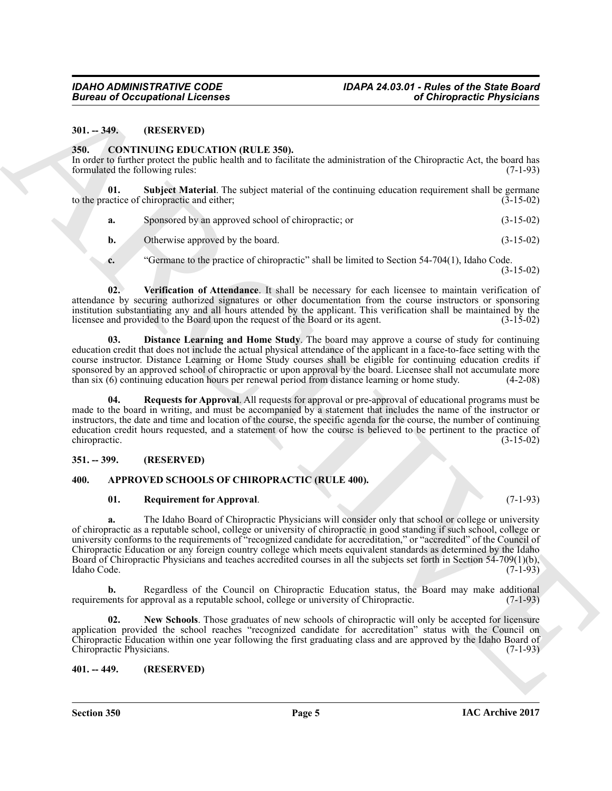#### <span id="page-4-0"></span>**301. -- 349. (RESERVED)**

#### <span id="page-4-8"></span><span id="page-4-1"></span>**350. CONTINUING EDUCATION (RULE 350).**

In order to further protect the public health and to facilitate the administration of the Chiropractic Act, the board has formulated the following rules: (7-1-93)

**01. Subject Material**. The subject material of the continuing education requirement shall be germane actice of chiropractic and either: (3-15-02) to the practice of chiropractic and either;

- <span id="page-4-11"></span>**a.** Sponsored by an approved school of chiropractic; or (3-15-02)
- **b.** Otherwise approved by the board. (3-15-02)
- <span id="page-4-12"></span>**c.** "Germane to the practice of chiropractic" shall be limited to Section 54-704(1), Idaho Code.

(3-15-02)

**02. Verification of Attendance**. It shall be necessary for each licensee to maintain verification of attendance by securing authorized signatures or other documentation from the course instructors or sponsoring institution substantiating any and all hours attended by the applicant. This verification shall be maintained by the licensee and provided to the Board upon the request of the Board or its agent.

<span id="page-4-9"></span>**03. Distance Learning and Home Study**. The board may approve a course of study for continuing education credit that does not include the actual physical attendance of the applicant in a face-to-face setting with the course instructor. Distance Learning or Home Study courses shall be eligible for continuing education credits if sponsored by an approved school of chiropractic or upon approval by the board. Licensee shall not accumulate more than six (6) continuing education hours per renewal period from distance learning or home study. (4-2-08) than six (6) continuing education hours per renewal period from distance learning or home study.

<span id="page-4-10"></span>**04. Requests for Approval**. All requests for approval or pre-approval of educational programs must be made to the board in writing, and must be accompanied by a statement that includes the name of the instructor or instructors, the date and time and location of the course, the specific agenda for the course, the number of continuing education credit hours requested, and a statement of how the course is believed to be pertinent to the practice of chiropractic. (3-15-02)

#### <span id="page-4-2"></span>**351. -- 399. (RESERVED)**

#### <span id="page-4-3"></span>**400. APPROVED SCHOOLS OF CHIROPRACTIC (RULE 400).**

#### <span id="page-4-7"></span><span id="page-4-5"></span>**01. Requirement for Approval**. (7-1-93)

Given to Occupations I. Leonics<br>
MI-1990.<br>
MI-1990. (COCHENDAD (BLUCYTION (BLUCYTION (BLUCYTION FIRELLY 259).<br>
SMI-1990. (COVITNAUS CIDIT CATTION (BLUCYTION FIRELLY 259).<br>
SMI-1990. (COVITNAUS CIDIT CATTION (BLUCYTION FIR **a.** The Idaho Board of Chiropractic Physicians will consider only that school or college or university of chiropractic as a reputable school, college or university of chiropractic in good standing if such school, college or university conforms to the requirements of "recognized candidate for accreditation," or "accredited" of the Council of Chiropractic Education or any foreign country college which meets equivalent standards as determined by the Idaho Board of Chiropractic Physicians and teaches accredited courses in all the subjects set forth in Section 54-709(1)(b), Idaho Code. (7-1-93) Idaho Code. (7-1-93)

Regardless of the Council on Chiropractic Education status, the Board may make additional upproval as a reputable school, college or university of Chiropractic. (7-1-93) requirements for approval as a reputable school, college or university of Chiropractic.

<span id="page-4-6"></span>**02. New Schools**. Those graduates of new schools of chiropractic will only be accepted for licensure application provided the school reaches "recognized candidate for accreditation" status with the Council on Chiropractic Education within one year following the first graduating class and are approved by the Idaho Board of Chiropractic Physicians. (7-1-93)

#### <span id="page-4-4"></span>**401. -- 449. (RESERVED)**

**Section 350 Page 5**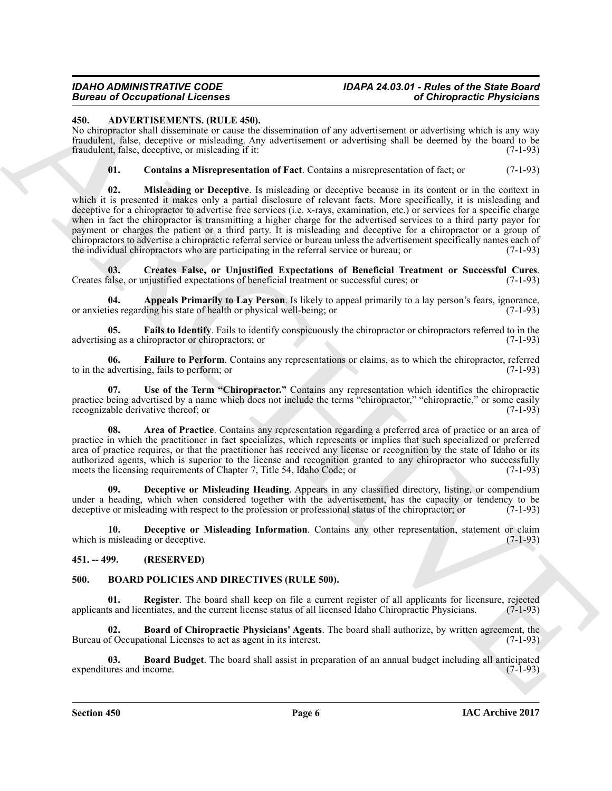## *IDAHO ADMINISTRATIVE CODE IDAPA 24.03.01 - Rules of the State Board*

#### <span id="page-5-3"></span><span id="page-5-0"></span>**450. ADVERTISEMENTS. (RULE 450).**

No chiropractor shall disseminate or cause the dissemination of any advertisement or advertising which is any way fraudulent, false, deceptive or misleading. Any advertisement or advertising shall be deemed by the board to be fraudulent, false, deceptive, or misleading if it:

<span id="page-5-12"></span><span id="page-5-6"></span>**01. Contains a Misrepresentation of Fact**. Contains a misrepresentation of fact; or (7-1-93)

**EVALUATION CONTINUOUS CONTINUOUS CONTINUOUS CONTINUOUS CONTINUOUS CONTINUOUS CONTINUOUS CONTINUOUS CONTINUOUS CONTINUOUS CONTINUOUS CONTINUOUS CONTINUOUS CONTINUOUS CONTINUOUS CONTINUOUS CONTINUOUS CONTINUOUS CONTINUOUS 02. Misleading or Deceptive**. Is misleading or deceptive because in its content or in the context in which it is presented it makes only a partial disclosure of relevant facts. More specifically, it is misleading and deceptive for a chiropractor to advertise free services (i.e. x-rays, examination, etc.) or services for a specific charge when in fact the chiropractor is transmitting a higher charge for the advertised services to a third party payor for payment or charges the patient or a third party. It is misleading and deceptive for a chiropractor or a group of chiropractors to advertise a chiropractic referral service or bureau unless the advertisement specifically names each of the individual chiropractors who are participating in the referral service or bureau; or

<span id="page-5-7"></span>**03.** Creates False, or Unjustified Expectations of Beneficial Treatment or Successful Cures.<br>
Salse, or unjustified expectations of beneficial treatment or successful cures; or (7-1-93) Creates false, or unjustified expectations of beneficial treatment or successful cures; or

<span id="page-5-4"></span>**04. Appeals Primarily to Lay Person**. Is likely to appeal primarily to a lay person's fears, ignorance, ies regarding his state of health or physical well-being: or or anxieties regarding his state of health or physical well-being; or

<span id="page-5-10"></span>**05.** Fails to Identify. Fails to identify conspicuously the chiropractor or chiropractors referred to in the ng as a chiropractor or chiropractors; or  $(7-1-93)$ advertising as a chiropractor or chiropractors; or

<span id="page-5-11"></span>**06. Failure to Perform**. Contains any representations or claims, as to which the chiropractor, referred advertising. fails to perform: or to in the advertising, fails to perform; or

<span id="page-5-13"></span>**07. Use of the Term "Chiropractor."** Contains any representation which identifies the chiropractic practice being advertised by a name which does not include the terms "chiropractor," "chiropractic," or some easily recognizable derivative thereof; or recognizable derivative thereof; or

<span id="page-5-5"></span>**08. Area of Practice**. Contains any representation regarding a preferred area of practice or an area of practice in which the practitioner in fact specializes, which represents or implies that such specialized or preferred area of practice requires, or that the practitioner has received any license or recognition by the state of Idaho or its authorized agents, which is superior to the license and recognition granted to any chiropractor who successfully meets the licensing requirements of Chapter 7. Title 54, Idaho Code; or (7-1-93) meets the licensing requirements of Chapter 7, Title 54, Idaho Code; or

<span id="page-5-8"></span>**09. Deceptive or Misleading Heading**. Appears in any classified directory, listing, or compendium under a heading, which when considered together with the advertisement, has the capacity or tendency to be deceptive or misleading with respect to the profession or professional status of the chiropractor; or (7-1-93) deceptive or misleading with respect to the profession or professional status of the chiropractor; or

<span id="page-5-9"></span>**10. Deceptive or Misleading Information**. Contains any other representation, statement or claim which is misleading or deceptive. (7-1-93)

#### <span id="page-5-1"></span>**451. -- 499. (RESERVED)**

#### <span id="page-5-14"></span><span id="page-5-2"></span>**500. BOARD POLICIES AND DIRECTIVES (RULE 500).**

<span id="page-5-17"></span>**01. Register**. The board shall keep on file a current register of all applicants for licensure, rejected is and licentiates, and the current license status of all licensed Idaho Chiropractic Physicians. (7-1-93) applicants and licentiates, and the current license status of all licensed Idaho Chiropractic Physicians.

<span id="page-5-16"></span>**Board of Chiropractic Physicians' Agents**. The board shall authorize, by written agreement, the tional Licenses to act as agent in its interest. (7-1-93) Bureau of Occupational Licenses to act as agent in its interest.

<span id="page-5-15"></span>**03. Board Budget**. The board shall assist in preparation of an annual budget including all anticipated ures and income. (7-1-93) expenditures and income.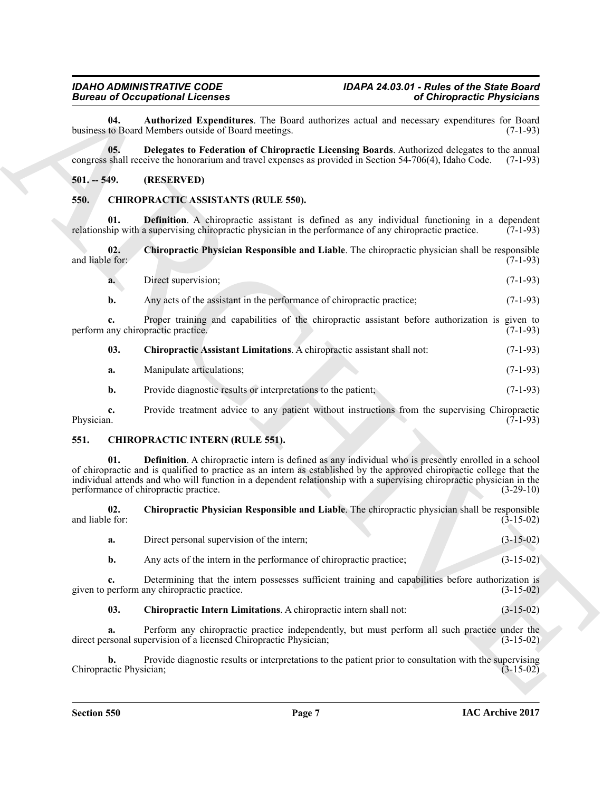<span id="page-6-3"></span>**04. Authorized Expenditures**. The Board authorizes actual and necessary expenditures for Board business to Board Members outside of Board meetings.

<span id="page-6-4"></span>**05. Delegates to Federation of Chiropractic Licensing Boards**. Authorized delegates to the annual congress shall receive the honorarium and travel expenses as provided in Section 54-706(4), Idaho Code. (7-1-93)

#### <span id="page-6-0"></span>**501. -- 549. (RESERVED)**

#### <span id="page-6-8"></span><span id="page-6-5"></span><span id="page-6-1"></span>**550. CHIROPRACTIC ASSISTANTS (RULE 550).**

**01. Definition**. A chiropractic assistant is defined as any individual functioning in a dependent hip with a supervising chiropractic physician in the performance of any chiropractic practice. (7-1-93) relationship with a supervising chiropractic physician in the performance of any chiropractic practice.

**02. Chiropractic Physician Responsible and Liable**. The chiropractic physician shall be responsible and liable for:

<span id="page-6-7"></span>

| a. | Direct supervision:                                                    | $(7-1-93)$ |
|----|------------------------------------------------------------------------|------------|
|    | Any acts of the assistant in the performance of chiropractic practice; | $(7-1-93)$ |

**c.** Proper training and capabilities of the chiropractic assistant before authorization is given to any chiropractic practice. (7-1-93) perform any chiropractic practice.

#### <span id="page-6-6"></span>**03. Chiropractic Assistant Limitations**. A chiropractic assistant shall not: (7-1-93)

| a. | Manipulate articulations; | $(7-1-93)$ |
|----|---------------------------|------------|
|    |                           |            |

**b.** Provide diagnostic results or interpretations to the patient; (7-1-93)

**c.** Provide treatment advice to any patient without instructions from the supervising Chiropractic Physician. (7-1-93) Physician. (7-1-93)

#### <span id="page-6-12"></span><span id="page-6-9"></span><span id="page-6-2"></span>**551. CHIROPRACTIC INTERN (RULE 551).**

Bioreon of Complete Experiments and the theoretic section and the theoretical experiment is a state of the theoretic section of the state of the state of the state of the state of the state of the state of the state of th **01. Definition**. A chiropractic intern is defined as any individual who is presently enrolled in a school of chiropractic and is qualified to practice as an intern as established by the approved chiropractic college that the individual attends and who will function in a dependent relationship with a supervising chiropractic physician in the performance of chiropractic practice.

**02.** Chiropractic Physician Responsible and Liable. The chiropractic physician shall be responsible and liable for:<br>(3-15-02) and liable for:  $(3-15-02)$ 

<span id="page-6-11"></span>

| Direct personal supervision of the intern; |  |  |  | $(3-15-02)$ |
|--------------------------------------------|--|--|--|-------------|
|                                            |  |  |  |             |

**b.** Any acts of the intern in the performance of chiropractic practice; (3-15-02)

**c.** Determining that the intern possesses sufficient training and capabilities before authorization is given to perform any chiropractic practice. (3-15-02)

<span id="page-6-10"></span>**03. Chiropractic Intern Limitations**. A chiropractic intern shall not: (3-15-02)

**a.** Perform any chiropractic practice independently, but must perform all such practice under the rsonal supervision of a licensed Chiropractic Physician; (3-15-02) direct personal supervision of a licensed Chiropractic Physician;

**b.** Provide diagnostic results or interpretations to the patient prior to consultation with the supervising ctic Physician; (3-15-02) Chiropractic Physician;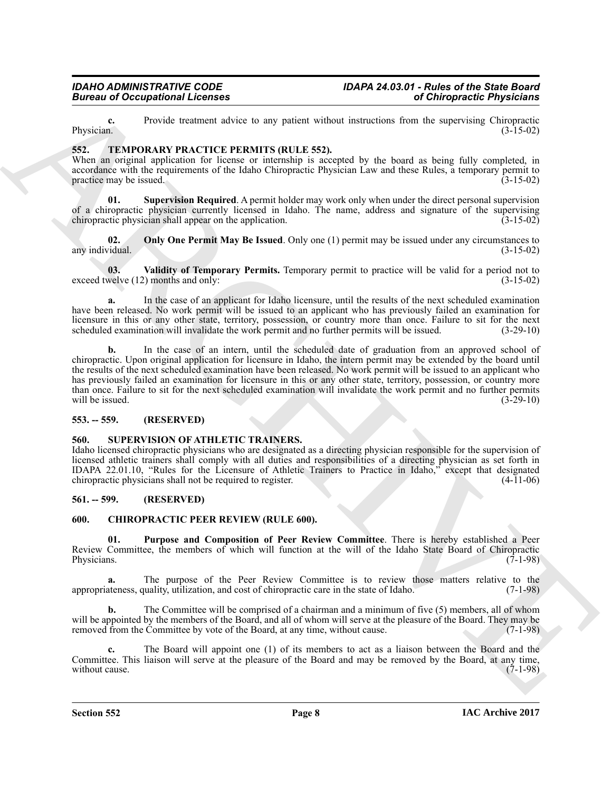**c.** Provide treatment advice to any patient without instructions from the supervising Chiropractic Physician. (3-15-02) Physician.  $(3-15-02)$ 

#### <span id="page-7-8"></span><span id="page-7-0"></span>**552. TEMPORARY PRACTICE PERMITS (RULE 552).**

When an original application for license or internship is accepted by the board as being fully completed, in accordance with the requirements of the Idaho Chiropractic Physician Law and these Rules, a temporary permit to practice may be issued. practice may be issued.

<span id="page-7-10"></span>**01.** Supervision Required. A permit holder may work only when under the direct personal supervision of a chiropractic physician currently licensed in Idaho. The name, address and signature of the supervising chiropractic physician shall appear on the application. (3-15-02) (3-15-02)

<span id="page-7-9"></span>**02. Only One Permit May Be Issued**. Only one (1) permit may be issued under any circumstances to *d*-15-02) any individual.

<span id="page-7-11"></span>**03.** Validity of Temporary Permits. Temporary permit to practice will be valid for a period not to welve (12) months and only: (3-15-02) exceed twelve  $(12)$  months and only:

**a.** In the case of an applicant for Idaho licensure, until the results of the next scheduled examination have been released. No work permit will be issued to an applicant who has previously failed an examination for licensure in this or any other state, territory, possession, or country more than once. Failure to sit for the next scheduled examination will invalidate the work permit and no further permits will be issued.  $(3-29-10)$ scheduled examination will invalidate the work permit and no further permits will be issued.

**Example 20** Conceptions I Leonson<br>
Theorem and seven be the positive value that the state is the conception for the state of the positive state is the positive state.<br>
The main and the state of the state of the state of **b.** In the case of an intern, until the scheduled date of graduation from an approved school of chiropractic. Upon original application for licensure in Idaho, the intern permit may be extended by the board until the results of the next scheduled examination have been released. No work permit will be issued to an applicant who has previously failed an examination for licensure in this or any other state, territory, possession, or country more than once. Failure to sit for the next scheduled examination will invalidate the work permit and no further permits will be issued. (3-29-10) will be issued.

#### <span id="page-7-1"></span>**553. -- 559. (RESERVED)**

#### <span id="page-7-7"></span><span id="page-7-2"></span>**560. SUPERVISION OF ATHLETIC TRAINERS.**

Idaho licensed chiropractic physicians who are designated as a directing physician responsible for the supervision of licensed athletic trainers shall comply with all duties and responsibilities of a directing physician as set forth in IDAPA 22.01.10, "Rules for the Licensure of Athletic Trainers to Practice in Idaho," except that designated chiropractic physicians shall not be required to register. (4-11-06)

#### <span id="page-7-3"></span>**561. -- 599. (RESERVED)**

#### <span id="page-7-5"></span><span id="page-7-4"></span>**600. CHIROPRACTIC PEER REVIEW (RULE 600).**

<span id="page-7-6"></span>**01. Purpose and Composition of Peer Review Committee**. There is hereby established a Peer Review Committee, the members of which will function at the will of the Idaho State Board of Chiropractic Physicians. (7-1-98) Physicians. (7-1-98)

**a.** The purpose of the Peer Review Committee is to review those matters relative to the appropriateness, quality, utilization, and cost of chiropractic care in the state of Idaho. (7-1-98)

**b.** The Committee will be comprised of a chairman and a minimum of five (5) members, all of whom will be appointed by the members of the Board, and all of whom will serve at the pleasure of the Board. They may be removed from the Committee by vote of the Board, at any time, without cause. (7-1-98)

**c.** The Board will appoint one (1) of its members to act as a liaison between the Board and the Committee. This liaison will serve at the pleasure of the Board and may be removed by the Board, at any time, without cause. (7-1-98) without cause.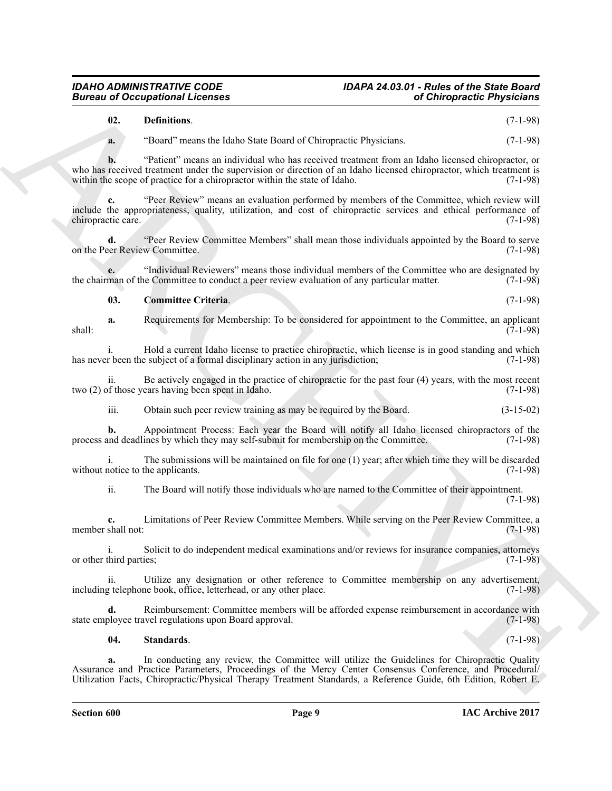<span id="page-8-1"></span><span id="page-8-0"></span>

|                                           | <b>Bureau of Occupational Licenses</b>                                                                                                                                                                                                                                                                                      | of Chiropractic Physicians |  |  |  |  |
|-------------------------------------------|-----------------------------------------------------------------------------------------------------------------------------------------------------------------------------------------------------------------------------------------------------------------------------------------------------------------------------|----------------------------|--|--|--|--|
| 02.                                       | Definitions.                                                                                                                                                                                                                                                                                                                | $(7-1-98)$                 |  |  |  |  |
| a.                                        | "Board" means the Idaho State Board of Chiropractic Physicians.                                                                                                                                                                                                                                                             | $(7-1-98)$                 |  |  |  |  |
| b.                                        | "Patient" means an individual who has received treatment from an Idaho licensed chiropractor, or<br>who has received treatment under the supervision or direction of an Idaho licensed chiropractor, which treatment is<br>within the scope of practice for a chiropractor within the state of Idaho.                       | $(7-1-98)$                 |  |  |  |  |
| c.<br>chiropractic care.                  | "Peer Review" means an evaluation performed by members of the Committee, which review will<br>include the appropriateness, quality, utilization, and cost of chiropractic services and ethical performance of                                                                                                               | $(7-1-98)$                 |  |  |  |  |
| d.                                        | "Peer Review Committee Members" shall mean those individuals appointed by the Board to serve<br>on the Peer Review Committee.                                                                                                                                                                                               | $(7-1-98)$                 |  |  |  |  |
|                                           | "Individual Reviewers" means those individual members of the Committee who are designated by<br>the chairman of the Committee to conduct a peer review evaluation of any particular matter.                                                                                                                                 | $(7-1-98)$                 |  |  |  |  |
| 03.                                       | <b>Committee Criteria.</b>                                                                                                                                                                                                                                                                                                  | $(7-1-98)$                 |  |  |  |  |
| a.<br>shall:                              | Requirements for Membership: To be considered for appointment to the Committee, an applicant                                                                                                                                                                                                                                | $(7-1-98)$                 |  |  |  |  |
|                                           | Hold a current Idaho license to practice chiropractic, which license is in good standing and which<br>has never been the subject of a formal disciplinary action in any jurisdiction;                                                                                                                                       | $(7-1-98)$                 |  |  |  |  |
| 11.                                       | Be actively engaged in the practice of chiropractic for the past four (4) years, with the most recent<br>two (2) of those years having been spent in Idaho.                                                                                                                                                                 | $(7-1-98)$                 |  |  |  |  |
| iii.                                      | Obtain such peer review training as may be required by the Board.                                                                                                                                                                                                                                                           | $(3-15-02)$                |  |  |  |  |
| b.                                        | Appointment Process: Each year the Board will notify all Idaho licensed chiropractors of the<br>process and deadlines by which they may self-submit for membership on the Committee.                                                                                                                                        | $(7-1-98)$                 |  |  |  |  |
|                                           | The submissions will be maintained on file for one $(1)$ year; after which time they will be discarded<br>without notice to the applicants.                                                                                                                                                                                 | $(7-1-98)$                 |  |  |  |  |
| ii.                                       | The Board will notify those individuals who are named to the Committee of their appointment.                                                                                                                                                                                                                                | $(7-1-98)$                 |  |  |  |  |
| c.<br>member shall not:                   | Limitations of Peer Review Committee Members. While serving on the Peer Review Committee, a                                                                                                                                                                                                                                 | $(7-1-98)$                 |  |  |  |  |
| $\mathbf{i}$ .<br>or other third parties; | Solicit to do independent medical examinations and/or reviews for insurance companies, attorneys                                                                                                                                                                                                                            | $(7-1-98)$                 |  |  |  |  |
| ii.                                       | Utilize any designation or other reference to Committee membership on any advertisement,<br>including telephone book, office, letterhead, or any other place.                                                                                                                                                               | $(7-1-98)$                 |  |  |  |  |
| d.                                        | Reimbursement: Committee members will be afforded expense reimbursement in accordance with<br>state employee travel regulations upon Board approval.                                                                                                                                                                        | $(7-1-98)$                 |  |  |  |  |
| 04.                                       | Standards.                                                                                                                                                                                                                                                                                                                  | $(7-1-98)$                 |  |  |  |  |
| a.                                        | In conducting any review, the Committee will utilize the Guidelines for Chiropractic Quality<br>Assurance and Practice Parameters, Proceedings of the Mercy Center Consensus Conference, and Procedural/<br>Utilization Facts, Chiropractic/Physical Therapy Treatment Standards, a Reference Guide, 6th Edition, Robert E. |                            |  |  |  |  |

#### <span id="page-8-2"></span>**04. Standards**. (7-1-98)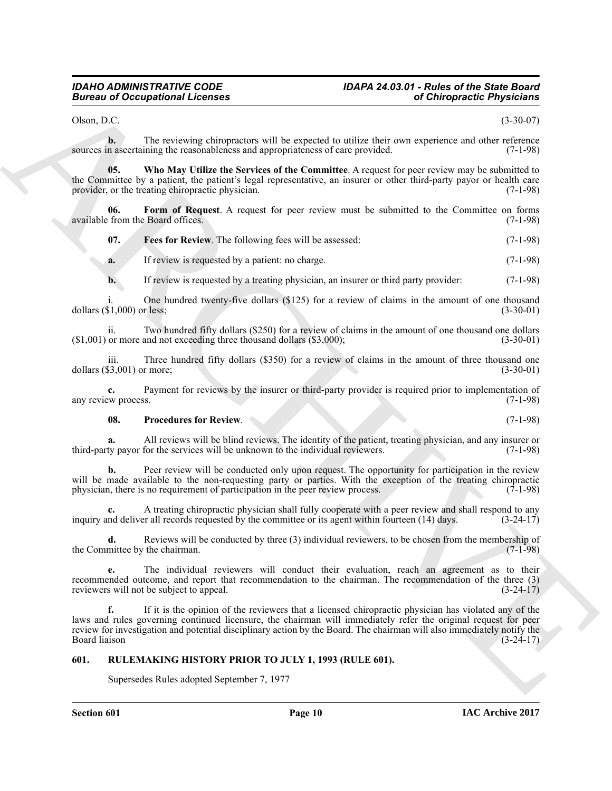### *IDAHO ADMINISTRATIVE CODE IDAPA 24.03.01 - Rules of the State Board*

Olson, D.C. (3-30-07)

**b.** The reviewing chiropractors will be expected to utilize their own experience and other reference sources in ascertaining the reasonableness and appropriateness of care provided. (7-1-98)

<span id="page-9-4"></span>**05. Who May Utilize the Services of the Committee**. A request for peer review may be submitted to the Committee by a patient, the patient's legal representative, an insurer or other third-party payor or health care<br>provider, or the treating chiropractic physician. (7-1-98) provider, or the treating chiropractic physician.

**06.** Form of Request. A request for peer review must be submitted to the Committee on forms from the Board offices. (7-1-98) available from the Board offices.

<span id="page-9-2"></span><span id="page-9-1"></span>**07. Fees for Review**. The following fees will be assessed: (7-1-98)

**a.** If review is requested by a patient: no charge. (7-1-98)

**b.** If review is requested by a treating physician, an insurer or third party provider: (7-1-98)

One hundred twenty-five dollars  $(\$125)$  for a review of claims in the amount of one thousand r less:  $(3-30-01)$ dollars  $(1,000)$  or less;

ii. Two hundred fifty dollars  $(\$250)$  for a review of claims in the amount of one thousand one dollars or more and not exceeding three thousand dollars  $(\$3,000)$ ;  $(3-30-01)$  $($1,001)$  or more and not exceeding three thousand dollars  $($3,000)$ ;

iii. Three hundred fifty dollars (\$350) for a review of claims in the amount of three thousand one  $(3-30-01)$ dollars  $(\$3,001)$  or more;

**c.** Payment for reviews by the insurer or third-party provider is required prior to implementation of  $(7-1-98)$ any review process.

#### <span id="page-9-3"></span>**08. Procedures for Review**. (7-1-98)

**a.** All reviews will be blind reviews. The identity of the patient, treating physician, and any insurer or third-party payor for the services will be unknown to the individual reviewers. (7-1-98)

**b.** Peer review will be conducted only upon request. The opportunity for participation in the review will be made available to the non-requesting party or parties. With the exception of the treating chiropractic physician, there is no requirement of participation in the peer review process. (7-1-98) physician, there is no requirement of participation in the peer review process.

A treating chiropractic physician shall fully cooperate with a peer review and shall respond to any r all records requested by the committee or its agent within fourteen (14) days. (3-24-17) inquiry and deliver all records requested by the committee or its agent within fourteen (14) days.

**d.** Reviews will be conducted by three (3) individual reviewers, to be chosen from the membership of mittee by the chairman. (7-1-98) the Committee by the chairman.

**e.** The individual reviewers will conduct their evaluation, reach an agreement as to their recommended outcome, and report that recommendation to the chairman. The recommendation of the three (3) reviewers will not be subject to appeal. (3-24-17)

**Electron of Occupations I**. Leonards<br>
Using the secondary distribution of the separation of the separation of the separation of the separation of the separation of the separation of the separation of the separation of th **f.** If it is the opinion of the reviewers that a licensed chiropractic physician has violated any of the laws and rules governing continued licensure, the chairman will immediately refer the original request for peer review for investigation and potential disciplinary action by the Board. The chairman will also immediately notify the Board liaison (3-24-17) Board liaison (3-24-17)

#### <span id="page-9-0"></span>**601. RULEMAKING HISTORY PRIOR TO JULY 1, 1993 (RULE 601).**

Supersedes Rules adopted September 7, 1977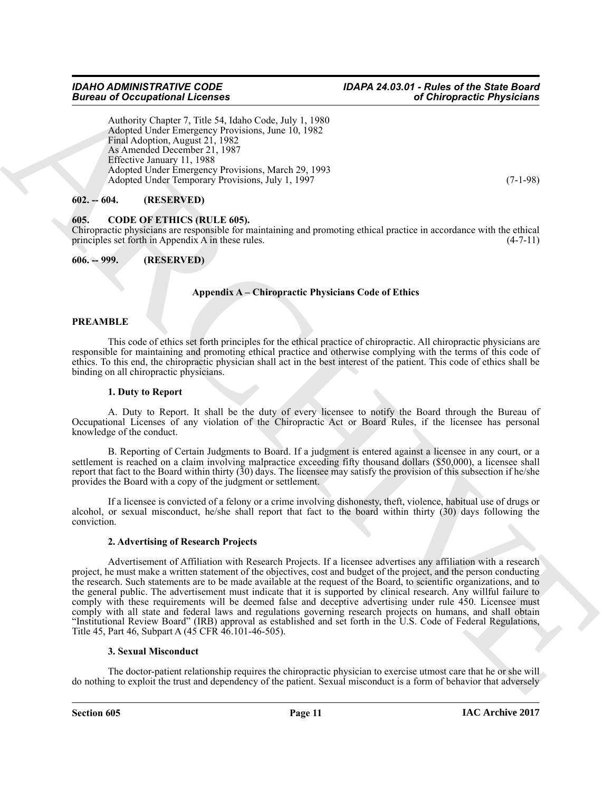Authority Chapter 7, Title 54, Idaho Code, July 1, 1980 Adopted Under Emergency Provisions, June 10, 1982 Final Adoption, August 21, 1982 As Amended December 21, 1987 Effective January 11, 1988 Adopted Under Emergency Provisions, March 29, 1993 Adopted Under Temporary Provisions, July 1, 1997 (7-1-98)

#### <span id="page-10-0"></span>**602. -- 604. (RESERVED)**

#### <span id="page-10-3"></span><span id="page-10-1"></span>**605. CODE OF ETHICS (RULE 605).**

Chiropractic physicians are responsible for maintaining and promoting ethical practice in accordance with the ethical principles set forth in Appendix A in these rules. (4-7-11) principles set forth in Appendix  $\overline{A}$  in these rules.

<span id="page-10-2"></span>

| $606. - 999.$ | (RESERVED) |
|---------------|------------|
|---------------|------------|

#### **Appendix A – Chiropractic Physicians Code of Ethics**

#### **PREAMBLE**

This code of ethics set forth principles for the ethical practice of chiropractic. All chiropractic physicians are responsible for maintaining and promoting ethical practice and otherwise complying with the terms of this code of ethics. To this end, the chiropractic physician shall act in the best interest of the patient. This code of ethics shall be binding on all chiropractic physicians.

#### **1. Duty to Report**

A. Duty to Report. It shall be the duty of every licensee to notify the Board through the Bureau of Occupational Licenses of any violation of the Chiropractic Act or Board Rules, if the licensee has personal knowledge of the conduct.

B. Reporting of Certain Judgments to Board. If a judgment is entered against a licensee in any court, or a settlement is reached on a claim involving malpractice exceeding fifty thousand dollars (\$50,000), a licensee shall report that fact to the Board within thirty  $(30)$  days. The licensee may satisfy the provision of this subsection if he/she provides the Board with a copy of the judgment or settlement.

If a licensee is convicted of a felony or a crime involving dishonesty, theft, violence, habitual use of drugs or alcohol, or sexual misconduct, he/she shall report that fact to the board within thirty (30) days following the conviction.

#### **2. Advertising of Research Projects**

Given an Ambasia (Leonors March 2013)<br>
Andreas Company Licht St. Holes Cons, Leo Lith 1980<br>
Andre Licht Internet Angle 21, 1982<br>
Andre Licht Internet Angle 21, 1982<br>
Cons, Licht St. Holes Cons, Licht II, 1982<br>
Cons, Cons, Advertisement of Affiliation with Research Projects. If a licensee advertises any affiliation with a research project, he must make a written statement of the objectives, cost and budget of the project, and the person conducting the research. Such statements are to be made available at the request of the Board, to scientific organizations, and to the general public. The advertisement must indicate that it is supported by clinical research. Any willful failure to comply with these requirements will be deemed false and deceptive advertising under rule 450. Licensee must comply with all state and federal laws and regulations governing research projects on humans, and shall obtain "Institutional Review Board" (IRB) approval as established and set forth in the U.S. Code of Federal Regulations, Title 45, Part 46, Subpart A (45 CFR 46.101-46-505).

#### **3. Sexual Misconduct**

The doctor-patient relationship requires the chiropractic physician to exercise utmost care that he or she will do nothing to exploit the trust and dependency of the patient. Sexual misconduct is a form of behavior that adversely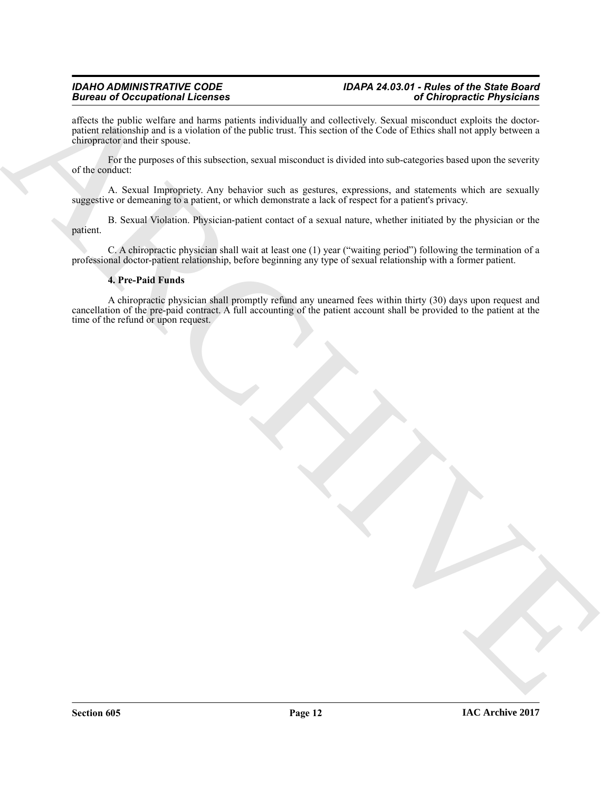## *IDAHO ADMINISTRATIVE CODE IDAPA 24.03.01 - Rules of the State Board*

affects the public welfare and harms patients individually and collectively. Sexual misconduct exploits the doctorpatient relationship and is a violation of the public trust. This section of the Code of Ethics shall not apply between a chiropractor and their spouse.

For the purposes of this subsection, sexual misconduct is divided into sub-categories based upon the severity of the conduct:

A. Sexual Impropriety. Any behavior such as gestures, expressions, and statements which are sexually suggestive or demeaning to a patient, or which demonstrate a lack of respect for a patient's privacy.

B. Sexual Violation. Physician-patient contact of a sexual nature, whether initiated by the physician or the patient.

C. A chiropractic physician shall wait at least one (1) year ("waiting period") following the termination of a professional doctor-patient relationship, before beginning any type of sexual relationship with a former patient.

#### **4. Pre-Paid Funds**

**Brain and Conception and Conception and Conceptible and Conceptible Proposition and Conception and Conceptible and Conception and Conception and Conception and Conception and Conception and Conception and Conception and** A chiropractic physician shall promptly refund any unearned fees within thirty (30) days upon request and cancellation of the pre-paid contract. A full accounting of the patient account shall be provided to the patient at the time of the refund or upon request.